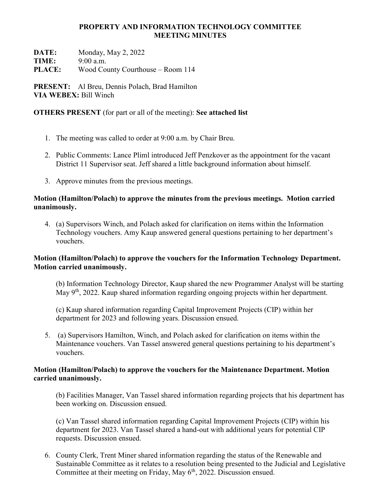#### PROPERTY AND INFORMATION TECHNOLOGY COMMITTEE MEETING MINUTES

DATE: Monday, May 2, 2022 TIME: 9:00 a.m. PLACE: Wood County Courthouse – Room 114

PRESENT: Al Breu, Dennis Polach, Brad Hamilton VIA WEBEX: Bill Winch

# OTHERS PRESENT (for part or all of the meeting): See attached list

- 1. The meeting was called to order at 9:00 a.m. by Chair Breu.
- 2. Public Comments: Lance Pliml introduced Jeff Penzkover as the appointment for the vacant District 11 Supervisor seat. Jeff shared a little background information about himself.
- 3. Approve minutes from the previous meetings.

## Motion (Hamilton/Polach) to approve the minutes from the previous meetings. Motion carried unanimously.

4. (a) Supervisors Winch, and Polach asked for clarification on items within the Information Technology vouchers. Amy Kaup answered general questions pertaining to her department's vouchers.

## Motion (Hamilton/Polach) to approve the vouchers for the Information Technology Department. Motion carried unanimously.

(b) Information Technology Director, Kaup shared the new Programmer Analyst will be starting May 9<sup>th</sup>, 2022. Kaup shared information regarding ongoing projects within her department.

(c) Kaup shared information regarding Capital Improvement Projects (CIP) within her department for 2023 and following years. Discussion ensued.

5. (a) Supervisors Hamilton, Winch, and Polach asked for clarification on items within the Maintenance vouchers. Van Tassel answered general questions pertaining to his department's vouchers.

## Motion (Hamilton/Polach) to approve the vouchers for the Maintenance Department. Motion carried unanimously.

(b) Facilities Manager, Van Tassel shared information regarding projects that his department has been working on. Discussion ensued.

(c) Van Tassel shared information regarding Capital Improvement Projects (CIP) within his department for 2023. Van Tassel shared a hand-out with additional years for potential CIP requests. Discussion ensued.

6. County Clerk, Trent Miner shared information regarding the status of the Renewable and Sustainable Committee as it relates to a resolution being presented to the Judicial and Legislative Committee at their meeting on Friday, May  $6<sup>th</sup>$ , 2022. Discussion ensued.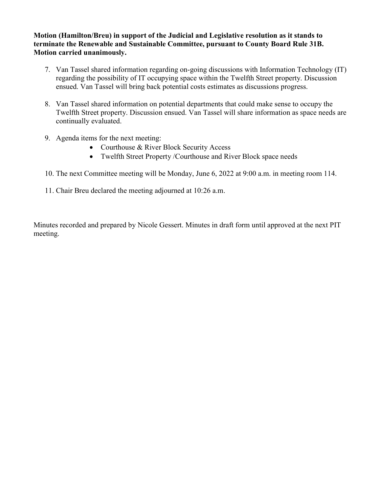#### Motion (Hamilton/Breu) in support of the Judicial and Legislative resolution as it stands to terminate the Renewable and Sustainable Committee, pursuant to County Board Rule 31B. Motion carried unanimously.

- 7. Van Tassel shared information regarding on-going discussions with Information Technology (IT) regarding the possibility of IT occupying space within the Twelfth Street property. Discussion ensued. Van Tassel will bring back potential costs estimates as discussions progress.
- 8. Van Tassel shared information on potential departments that could make sense to occupy the Twelfth Street property. Discussion ensued. Van Tassel will share information as space needs are continually evaluated.
- 9. Agenda items for the next meeting:
	- Courthouse & River Block Security Access
	- Twelfth Street Property / Courthouse and River Block space needs
- 10. The next Committee meeting will be Monday, June 6, 2022 at 9:00 a.m. in meeting room 114.
- 11. Chair Breu declared the meeting adjourned at 10:26 a.m.

Minutes recorded and prepared by Nicole Gessert. Minutes in draft form until approved at the next PIT meeting.